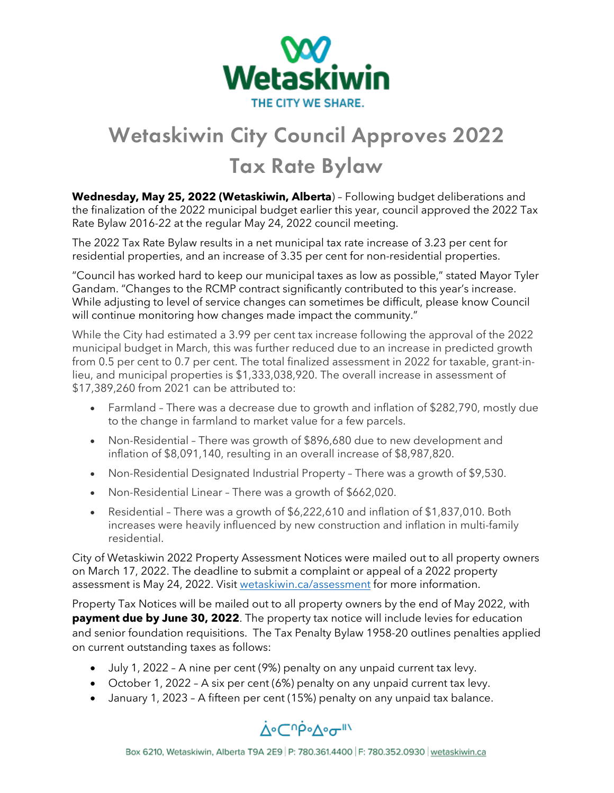

## Wetaskiwin City Council Approves 2022 Tax Rate Bylaw

**Wednesday, May 25, 2022 (Wetaskiwin, Alberta**) – Following budget deliberations and the finalization of the 2022 municipal budget earlier this year, council approved the 2022 Tax Rate Bylaw 2016-22 at the regular May 24, 2022 council meeting.

The 2022 Tax Rate Bylaw results in a net municipal tax rate increase of 3.23 per cent for residential properties, and an increase of 3.35 per cent for non-residential properties.

"Council has worked hard to keep our municipal taxes as low as possible," stated Mayor Tyler Gandam. "Changes to the RCMP contract significantly contributed to this year's increase. While adjusting to level of service changes can sometimes be difficult, please know Council will continue monitoring how changes made impact the community."

While the City had estimated a 3.99 per cent tax increase following the approval of the 2022 municipal budget in March, this was further reduced due to an increase in predicted growth from 0.5 per cent to 0.7 per cent. The total finalized assessment in 2022 for taxable, grant-inlieu, and municipal properties is \$1,333,038,920. The overall increase in assessment of \$17,389,260 from 2021 can be attributed to:

- Farmland There was a decrease due to growth and inflation of \$282,790, mostly due to the change in farmland to market value for a few parcels.
- Non-Residential There was growth of \$896,680 due to new development and inflation of \$8,091,140, resulting in an overall increase of \$8,987,820.
- Non-Residential Designated Industrial Property There was a growth of \$9,530.
- Non-Residential Linear There was a growth of \$662,020.
- Residential There was a growth of \$6,222,610 and inflation of \$1,837,010. Both increases were heavily influenced by new construction and inflation in multi-family residential.

City of Wetaskiwin 2022 Property Assessment Notices were mailed out to all property owners on March 17, 2022. The deadline to submit a complaint or appeal of a 2022 property assessment is May 24, 2022. Visit [wetaskiwin.ca/assessment](http://wetaskiwin.ca/1132/Assessment) for more information.

Property Tax Notices will be mailed out to all property owners by the end of May 2022, with **payment due by June 30, 2022**. The property tax notice will include levies for education and senior foundation requisitions. The Tax Penalty Bylaw 1958-20 outlines penalties applied on current outstanding taxes as follows:

- July 1, 2022 A nine per cent (9%) penalty on any unpaid current tax levy.
- October 1, 2022 A six per cent (6%) penalty on any unpaid current tax levy.
- January 1, 2023 A fifteen per cent (15%) penalty on any unpaid tax balance.